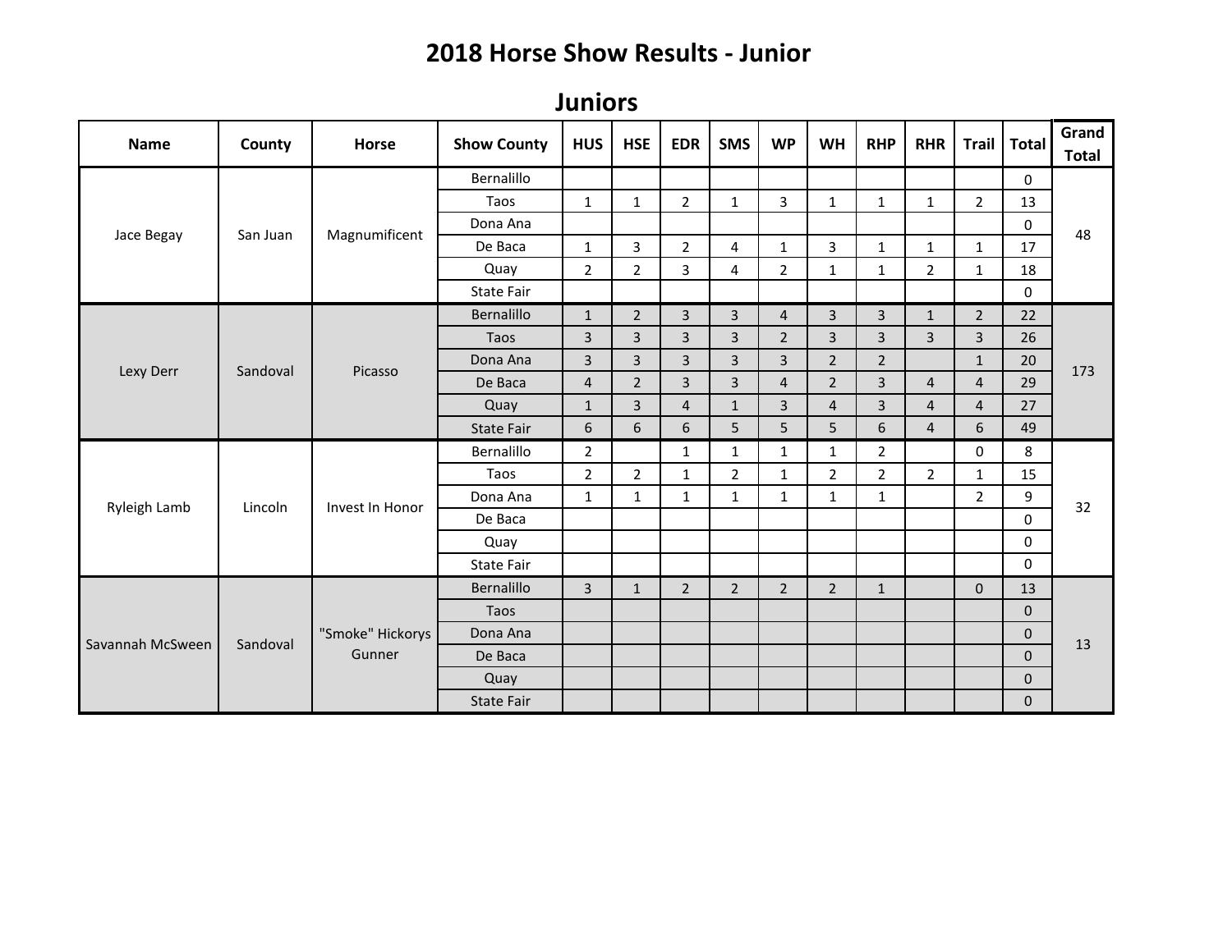## **2018 Horse Show Results - Junior**

**Juniors** 

| <b>Name</b>      | County   | <b>Horse</b>               | <b>Show County</b> | <b>HUS</b>     | <b>HSE</b>     | <b>EDR</b>     | <b>SMS</b>     | <b>WP</b>      | <b>WH</b>      | <b>RHP</b>     | <b>RHR</b>     | <b>Trail</b>   | <b>Total</b> | Grand<br><b>Total</b> |
|------------------|----------|----------------------------|--------------------|----------------|----------------|----------------|----------------|----------------|----------------|----------------|----------------|----------------|--------------|-----------------------|
| Jace Begay       | San Juan | Magnumificent              | Bernalillo         |                |                |                |                |                |                |                |                |                | $\Omega$     | 48                    |
|                  |          |                            | Taos               | $\mathbf{1}$   | $1\,$          | $\overline{2}$ | $\mathbf{1}$   | 3              | $\mathbf{1}$   | $\mathbf{1}$   | $\mathbf{1}$   | $2^{\circ}$    | 13           |                       |
|                  |          |                            | Dona Ana           |                |                |                |                |                |                |                |                |                | 0            |                       |
|                  |          |                            | De Baca            | $\mathbf{1}$   | 3              | $\overline{2}$ | 4              | $\mathbf{1}$   | 3              | $\mathbf{1}$   | $\mathbf{1}$   | $\mathbf{1}$   | 17           |                       |
|                  |          |                            | Quay               | $\overline{2}$ | $\overline{2}$ | 3              | 4              | $\overline{2}$ | $\mathbf{1}$   | $\mathbf{1}$   | $\overline{2}$ | $\mathbf{1}$   | 18           |                       |
|                  |          |                            | State Fair         |                |                |                |                |                |                |                |                |                | $\Omega$     |                       |
| Lexy Derr        |          | Picasso                    | Bernalillo         | $\mathbf{1}$   | $\overline{2}$ | $\overline{3}$ | $\overline{3}$ | $\overline{4}$ | $\overline{3}$ | $\overline{3}$ | $\mathbf{1}$   | $\overline{2}$ | 22           | 173                   |
|                  | Sandoval |                            | Taos               | $\overline{3}$ | 3              | 3              | 3              | $\overline{2}$ | $\overline{3}$ | $\overline{3}$ | $\overline{3}$ | $\overline{3}$ | 26           |                       |
|                  |          |                            | Dona Ana           | $\mathbf{3}$   | 3              | $\overline{3}$ | 3              | $\mathbf{3}$   | $\overline{2}$ | $\overline{2}$ |                | $\mathbf{1}$   | 20           |                       |
|                  |          |                            | De Baca            | $\overline{4}$ | $2^{1}$        | $\overline{3}$ | $\overline{3}$ | $\overline{4}$ | $\overline{2}$ | $\overline{3}$ | $\overline{4}$ | $\overline{4}$ | 29           |                       |
|                  |          |                            | Quay               | $\mathbf{1}$   | 3              | $\overline{4}$ | $\mathbf{1}$   | $\overline{3}$ | $\overline{4}$ | $\overline{3}$ | $\overline{4}$ | $\overline{4}$ | 27           |                       |
|                  |          |                            | State Fair         | 6              | 6              | 6              | 5              | 5              | 5              | 6              | $\overline{4}$ | 6              | 49           |                       |
|                  | Lincoln  | Invest In Honor            | Bernalillo         | $\overline{2}$ |                | $\mathbf{1}$   | $\mathbf{1}$   | $\mathbf{1}$   | $\mathbf{1}$   | $\overline{2}$ |                | $\mathbf 0$    | 8            | 32                    |
|                  |          |                            | Taos               | $\overline{2}$ | $\overline{2}$ | $\mathbf{1}$   | $\overline{2}$ | $\mathbf{1}$   | $\overline{2}$ | $\overline{2}$ | $\overline{2}$ | $\mathbf{1}$   | 15           |                       |
|                  |          |                            | Dona Ana           | $\mathbf{1}$   | $\mathbf{1}$   | $\mathbf{1}$   | $\mathbf{1}$   | $\mathbf{1}$   | $\mathbf{1}$   | $\mathbf{1}$   |                | $\overline{2}$ | 9            |                       |
| Ryleigh Lamb     |          |                            | De Baca            |                |                |                |                |                |                |                |                |                | $\mathbf 0$  |                       |
|                  |          |                            | Quay               |                |                |                |                |                |                |                |                |                | $\mathbf 0$  |                       |
|                  |          |                            | State Fair         |                |                |                |                |                |                |                |                |                | $\Omega$     |                       |
| Savannah McSween |          | "Smoke" Hickorys<br>Gunner | Bernalillo         | $\mathbf{3}$   | $\mathbf{1}$   | $\overline{2}$ | $\overline{2}$ | $\overline{2}$ | $\overline{2}$ | $\mathbf{1}$   |                | $\overline{0}$ | 13           | 13                    |
|                  |          |                            | Taos               |                |                |                |                |                |                |                |                |                | $\mathbf{0}$ |                       |
|                  | Sandoval |                            | Dona Ana           |                |                |                |                |                |                |                |                |                | $\mathbf{0}$ |                       |
|                  |          |                            | De Baca            |                |                |                |                |                |                |                |                |                | $\Omega$     |                       |
|                  |          |                            | Quay               |                |                |                |                |                |                |                |                |                | $\mathbf{0}$ |                       |
|                  |          |                            | <b>State Fair</b>  |                |                |                |                |                |                |                |                |                | $\mathbf 0$  |                       |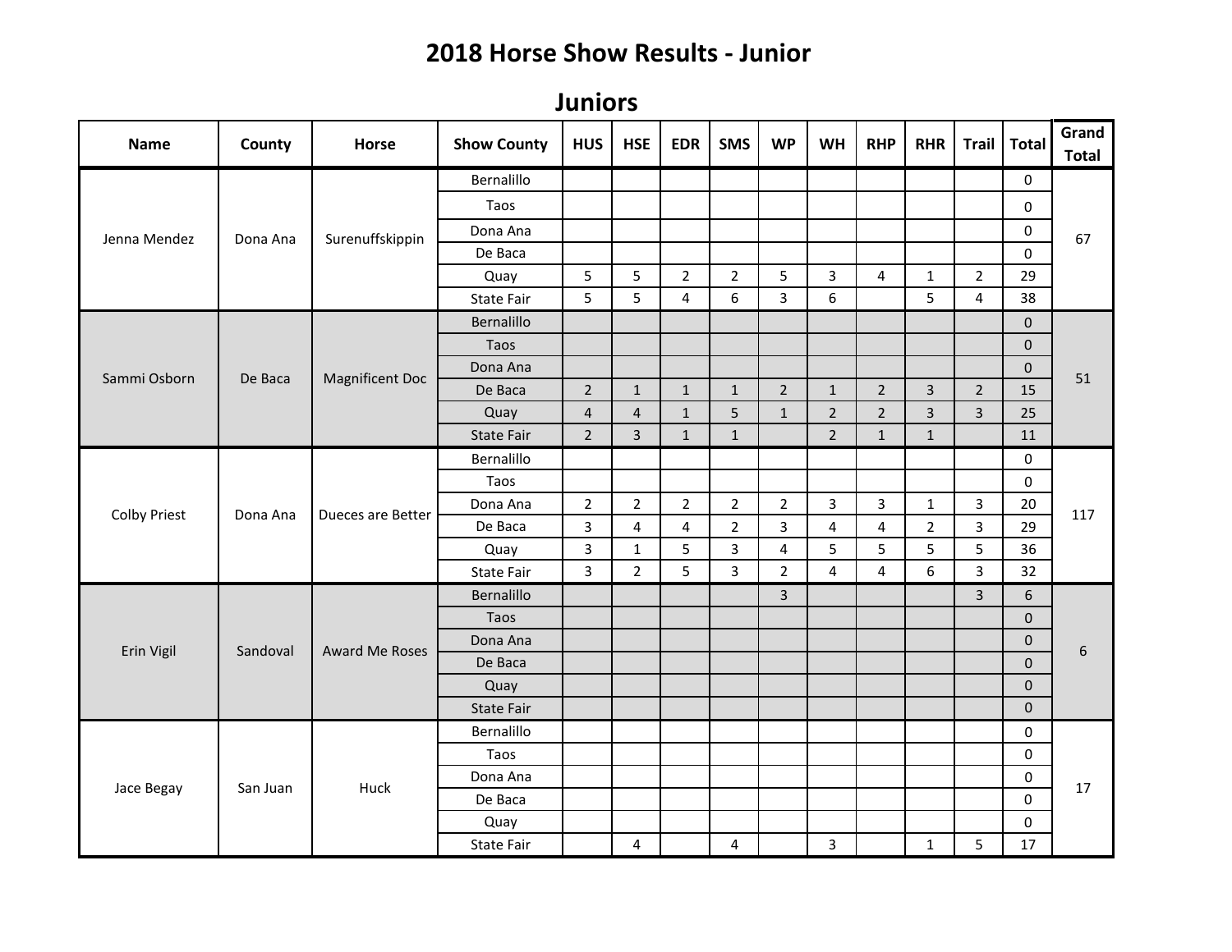## **2018 Horse Show Results - Junior**

**Juniors** 

| <b>Name</b>         | County   | Horse             | <b>Show County</b> | <b>HUS</b>     | <b>HSE</b>     | <b>EDR</b>     | <b>SMS</b>     | <b>WP</b>      | <b>WH</b>               | <b>RHP</b>     | <b>RHR</b>     | <b>Trail</b>   | <b>Total</b> | Grand<br><b>Total</b> |
|---------------------|----------|-------------------|--------------------|----------------|----------------|----------------|----------------|----------------|-------------------------|----------------|----------------|----------------|--------------|-----------------------|
| Jenna Mendez        |          |                   | Bernalillo         |                |                |                |                |                |                         |                |                |                | $\mathbf 0$  | 67                    |
|                     |          |                   | Taos               |                |                |                |                |                |                         |                |                |                | 0            |                       |
|                     |          | Surenuffskippin   | Dona Ana           |                |                |                |                |                |                         |                |                |                | $\pmb{0}$    |                       |
|                     | Dona Ana |                   | De Baca            |                |                |                |                |                |                         |                |                |                | $\Omega$     |                       |
|                     |          |                   | Quay               | 5              | 5              | $\overline{2}$ | $\overline{2}$ | 5              | $\overline{3}$          | 4              | $\mathbf{1}$   | $\overline{2}$ | 29           |                       |
|                     |          |                   | <b>State Fair</b>  | 5              | 5              | 4              | 6              | $\overline{3}$ | 6                       |                | 5              | $\overline{4}$ | 38           |                       |
|                     |          |                   | Bernalillo         |                |                |                |                |                |                         |                |                |                | $\Omega$     |                       |
|                     |          |                   | Taos               |                |                |                |                |                |                         |                |                |                | $\mathbf{0}$ |                       |
|                     |          |                   | Dona Ana           |                |                |                |                |                |                         |                |                |                | $\pmb{0}$    |                       |
| Sammi Osborn        | De Baca  | Magnificent Doc   | De Baca            | $\overline{2}$ | $\mathbf{1}$   | $\mathbf{1}$   | $\mathbf{1}$   | $2^{\circ}$    | $\mathbf{1}$            | $\overline{2}$ | $\overline{3}$ | $2^{\circ}$    | 15           | 51                    |
|                     |          |                   | Quay               | $\overline{4}$ | $\overline{4}$ | $\mathbf{1}$   | 5              | $\mathbf{1}$   | $\overline{2}$          | $\overline{2}$ | $\overline{3}$ | $\overline{3}$ | 25           |                       |
|                     |          |                   | <b>State Fair</b>  | $\overline{2}$ | 3              | $\mathbf{1}$   | $\mathbf{1}$   |                | $\overline{2}$          | $\mathbf{1}$   | $\mathbf{1}$   |                | 11           |                       |
|                     | Dona Ana | Dueces are Better | Bernalillo         |                |                |                |                |                |                         |                |                |                | $\mathbf 0$  | 117                   |
|                     |          |                   | Taos               |                |                |                |                |                |                         |                |                |                | $\mathbf 0$  |                       |
|                     |          |                   | Dona Ana           | $\overline{2}$ | $\overline{2}$ | $\overline{2}$ | $\overline{2}$ | $\overline{2}$ | $\mathbf{3}$            | $\overline{3}$ | $\mathbf{1}$   | 3              | 20           |                       |
| <b>Colby Priest</b> |          |                   | De Baca            | $\overline{3}$ | 4              | 4              | $\overline{2}$ | $\overline{3}$ | $\overline{\mathbf{4}}$ | 4              | $\overline{2}$ | 3              | 29           |                       |
|                     |          |                   | Quay               | $\overline{3}$ | $\mathbf{1}$   | 5              | 3              | 4              | 5                       | 5              | 5              | 5              | 36           |                       |
|                     |          |                   | <b>State Fair</b>  | $\mathbf{3}$   | $\overline{2}$ | 5              | 3              | $\overline{2}$ | 4                       | $\overline{4}$ | 6              | $\overline{3}$ | 32           |                       |
|                     | Sandoval | Award Me Roses    | Bernalillo         |                |                |                |                | $\overline{3}$ |                         |                |                | $\overline{3}$ | 6            |                       |
|                     |          |                   | Taos               |                |                |                |                |                |                         |                |                |                | $\mathbf 0$  |                       |
|                     |          |                   | Dona Ana           |                |                |                |                |                |                         |                |                |                | $\mathbf 0$  |                       |
| Erin Vigil          |          |                   | De Baca            |                |                |                |                |                |                         |                |                |                | $\mathbf{0}$ | $\sqrt{6}$            |
|                     |          |                   | Quay               |                |                |                |                |                |                         |                |                |                | $\mathbf{0}$ |                       |
|                     |          |                   | <b>State Fair</b>  |                |                |                |                |                |                         |                |                |                | $\mathbf 0$  |                       |
| Jace Begay          |          | Huck              | Bernalillo         |                |                |                |                |                |                         |                |                |                | $\mathbf 0$  | 17                    |
|                     |          |                   | Taos               |                |                |                |                |                |                         |                |                |                | $\mathbf 0$  |                       |
|                     |          |                   | Dona Ana           |                |                |                |                |                |                         |                |                |                | $\pmb{0}$    |                       |
|                     | San Juan |                   | De Baca            |                |                |                |                |                |                         |                |                |                | $\mathbf 0$  |                       |
|                     |          |                   | Quay               |                |                |                |                |                |                         |                |                |                | $\mathbf 0$  |                       |
|                     |          |                   | <b>State Fair</b>  |                | 4              |                | 4              |                | $\overline{3}$          |                | $\mathbf{1}$   | 5              | 17           |                       |